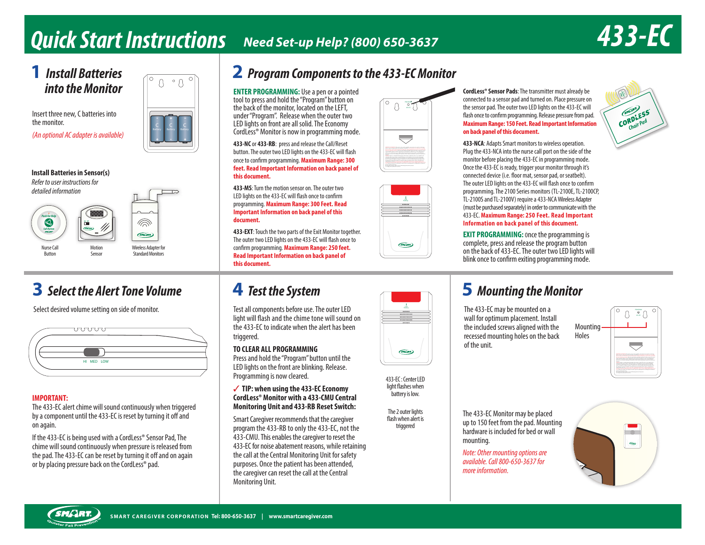# **Q u i c k S t a r t I n s t r u c t i o n s Need Set-up Help? (800) 650-3637 4 3 3 - E C**

# **into the Monitor**

Insert three new, C batteries into the monitor.

*(An optional AC adapter is available)*

# **Battery**

#### **Install Batteries in Sensor(s)** *Refer to user instructions for detailed information*





Button

#### Sensor Wireless Adapter for **Standard Monitors**

 $\widehat{\mathbb{D}}$  $GMLAR$ 

# **3** Select the Alert Tone Volume

Select desired volume setting on side of monitor.



#### **IMPORTANT:**

The 433-EC alert chime will sound continuously when triggered by a component until the 433-EC is reset by turning it off and on again.

If the 433-EC is being used with a CordLess® Sensor Pad, The chime will sound continuously when pressure is released from the pad. The 433-EC can be reset by turning it off and on again or by placing pressure back on the CordLess® pad.

# **1 Install Batteries**  $\begin{bmatrix} 0 & 0 & 0 \\ 0 & 0 & 0 \\ 0 & 0 & 0 \end{bmatrix}$  **2** Program Components to the 433-EC Monitor

**ENTER PROGRAMMING:** Use a pen or a pointed tool to press and hold the "Program" button on the back of the monitor, located on the LEFT, under "Program". Release when the outer two LED lights on front are all solid. The Economy CordLess® Monitor is now in programming mode.

**433-NC** or **433-RB**: press and release the Call/Reset button. The outer two LED lights on the 433-EC will flash once to conirm programming. **Maximum Range: 300 feet. Read Important Information on back panel of this document.** 

**433-MS**: Turn the motion sensor on. The outer two LED lights on the 433-EC will flash once to confirm programming. **Maximum Range: 300 Feet. Read Important Information on back panel of this document.**

**433-EXT**: Touch the two parts of the Exit Monitor together. The outer two LED lights on the 433-EC will flash once to confirm programming. Maximum Range: 250 feet. **Read Important Information on back panel of this document.**

Test all components before use. The outer LED light will flash and the chime tone will sound on the 433-EC to indicate when the alert has been triggered.

### **TO CLEAR ALL PROGRAMMING**

Press and hold the "Program" button until the LED lights on the front are blinking. Release. Programming is now cleared.

#### 3 **TIP: when using the 433-EC Economy CordLess® Monitor with a 433-CMU Central Monitoring Unit and 433-RB Reset Switch:**

Smart Caregiver recommends that the caregiver program the 433-RB to only the 433-EC, not the 433-CMU. This enables the caregiver to reset the 433-EC for noise abatement reasons, while retaining the call at the Central Monitoring Unit for safety purposes. Once the patient has been attended, the caregiver can reset the call at the Central Monitoring Unit.







433-EC : Center LED light flashes when battery is low.

(SMCLAT)

The 2 outer lights flash when alert is triggered

# **4** Test the System **19 Test in the System 5 1 5** *Mounting the Monitor*

wall for optimum placement. Install the included screws aligned with the recessed mounting holes on the back of the unit.



Holes

The 433-EC Monitor may be placed up to 150 feet from the pad. Mounting hardware is included for bed or wall mounting.

*Note: Other mounting available. Call 800-65 more information.*





#### **Maximum Range: 150 Feet. Read Important Information on back panel of this document. 433-NCA**: Adapts Smart monitors to wireless operation. Plug the 433-NCA into the nurse call port on the side of the

monitor before placing the 433-EC in programming mode. Once the 433-EC is ready, trigger your monitor through it's connected device (i.e. floor mat, sensor pad, or seatbelt). The outer LED lights on the 433-EC will flash once to confirm programming. The 2100 Series monitors (TL-2100E, TL-2100CP, TL-2100S and TL-2100V) require a 433-NCA Wireless Adapter (must be purchased separately) in order to communicate with the 433-EC. **Maximum Range: 250 Feet. Read Important Information on back panel of this document.**

**CordLess® Sensor Pads**: The transmitter must already be connected to a sensor pad and turned on. Place pressure on the sensor pad. The outer two LED lights on the 433-EC will flash once to confirm programming. Release pressure from pad.

**EXIT PROGRAMMING:** Once the programming is complete, press and release the program button on the back of 433-EC. The outer two LED lights will blink once to confirm exiting programming mode.



The 433-EC may be mounted on a